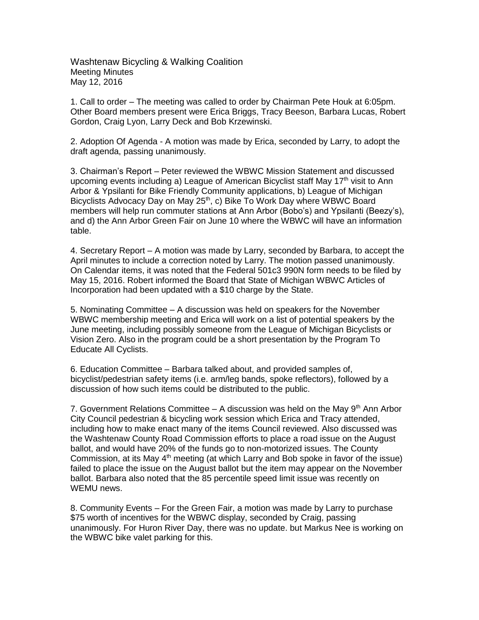Washtenaw Bicycling & Walking Coalition Meeting Minutes May 12, 2016

1. Call to order – The meeting was called to order by Chairman Pete Houk at 6:05pm. Other Board members present were Erica Briggs, Tracy Beeson, Barbara Lucas, Robert Gordon, Craig Lyon, Larry Deck and Bob Krzewinski.

2. Adoption Of Agenda - A motion was made by Erica, seconded by Larry, to adopt the draft agenda, passing unanimously.

3. Chairman's Report – Peter reviewed the WBWC Mission Statement and discussed upcoming events including a) League of American Bicyclist staff May  $17<sup>th</sup>$  visit to Ann Arbor & Ypsilanti for Bike Friendly Community applications, b) League of Michigan Bicyclists Advocacy Day on May 25th, c) Bike To Work Day where WBWC Board members will help run commuter stations at Ann Arbor (Bobo's) and Ypsilanti (Beezy's), and d) the Ann Arbor Green Fair on June 10 where the WBWC will have an information table.

4. Secretary Report – A motion was made by Larry, seconded by Barbara, to accept the April minutes to include a correction noted by Larry. The motion passed unanimously. On Calendar items, it was noted that the Federal 501c3 990N form needs to be filed by May 15, 2016. Robert informed the Board that State of Michigan WBWC Articles of Incorporation had been updated with a \$10 charge by the State.

5. Nominating Committee – A discussion was held on speakers for the November WBWC membership meeting and Erica will work on a list of potential speakers by the June meeting, including possibly someone from the League of Michigan Bicyclists or Vision Zero. Also in the program could be a short presentation by the Program To Educate All Cyclists.

6. Education Committee – Barbara talked about, and provided samples of, bicyclist/pedestrian safety items (i.e. arm/leg bands, spoke reflectors), followed by a discussion of how such items could be distributed to the public.

7. Government Relations Committee  $-$  A discussion was held on the May 9<sup>th</sup> Ann Arbor City Council pedestrian & bicycling work session which Erica and Tracy attended, including how to make enact many of the items Council reviewed. Also discussed was the Washtenaw County Road Commission efforts to place a road issue on the August ballot, and would have 20% of the funds go to non-motorized issues. The County Commission, at its May  $4<sup>th</sup>$  meeting (at which Larry and Bob spoke in favor of the issue) failed to place the issue on the August ballot but the item may appear on the November ballot. Barbara also noted that the 85 percentile speed limit issue was recently on WEMU news.

8. Community Events – For the Green Fair, a motion was made by Larry to purchase \$75 worth of incentives for the WBWC display, seconded by Craig, passing unanimously. For Huron River Day, there was no update. but Markus Nee is working on the WBWC bike valet parking for this.